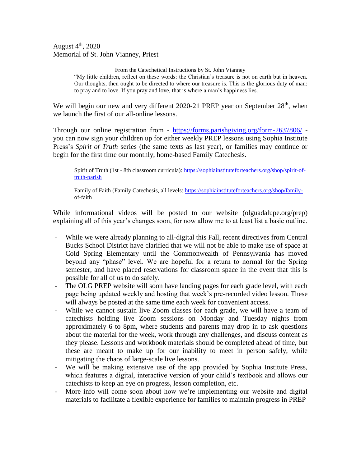August  $4<sup>th</sup>$ , 2020 Memorial of St. John Vianney, Priest

> From the Catechetical Instructions by St. John Vianney "My little children, reflect on these words: the Christian's treasure is not on earth but in heaven. Our thoughts, then ought to be directed to where our treasure is. This is the glorious duty of man: to pray and to love. If you pray and love, that is where a man's happiness lies.

We will begin our new and very different 2020-21 PREP year on September 28<sup>th</sup>, when we launch the first of our all-online lessons.

Through our online registration from - <https://forms.parishgiving.org/form-2637806/> you can now sign your children up for either weekly PREP lessons using Sophia Institute Press's *Spirit of Truth* series (the same texts as last year), or families may continue or begin for the first time our monthly, home-based Family Catechesis.

Spirit of Truth (1st - 8th classroom curricula): [https://sophiainstituteforteachers.org/shop/spirit-of](https://sophiainstituteforteachers.org/shop/spirit-of-truth-parish)[truth-parish](https://sophiainstituteforteachers.org/shop/spirit-of-truth-parish)

Family of Faith (Family Catechesis, all levels: [https://sophiainstituteforteachers.org/shop/family](https://sophiainstituteforteachers.org/shop/family-)of-faith

While informational videos will be posted to our website (olguadalupe.org/prep) explaining all of this year's changes soon, for now allow me to at least list a basic outline.

- While we were already planning to all-digital this Fall, recent directives from Central Bucks School District have clarified that we will not be able to make use of space at Cold Spring Elementary until the Commonwealth of Pennsylvania has moved beyond any "phase" level. We are hopeful for a return to normal for the Spring semester, and have placed reservations for classroom space in the event that this is possible for all of us to do safely.
- The OLG PREP website will soon have landing pages for each grade level, with each page being updated weekly and hosting that week's pre-recorded video lesson. These will always be posted at the same time each week for convenient access.
- While we cannot sustain live Zoom classes for each grade, we will have a team of catechists holding live Zoom sessions on Monday and Tuesday nights from approximately 6 to 8pm, where students and parents may drop in to ask questions about the material for the week, work through any challenges, and discuss content as they please. Lessons and workbook materials should be completed ahead of time, but these are meant to make up for our inability to meet in person safely, while mitigating the chaos of large-scale live lessons.
- We will be making extensive use of the app provided by Sophia Institute Press, which features a digital, interactive version of your child's textbook and allows our catechists to keep an eye on progress, lesson completion, etc.
- More info will come soon about how we're implementing our website and digital materials to facilitate a flexible experience for families to maintain progress in PREP